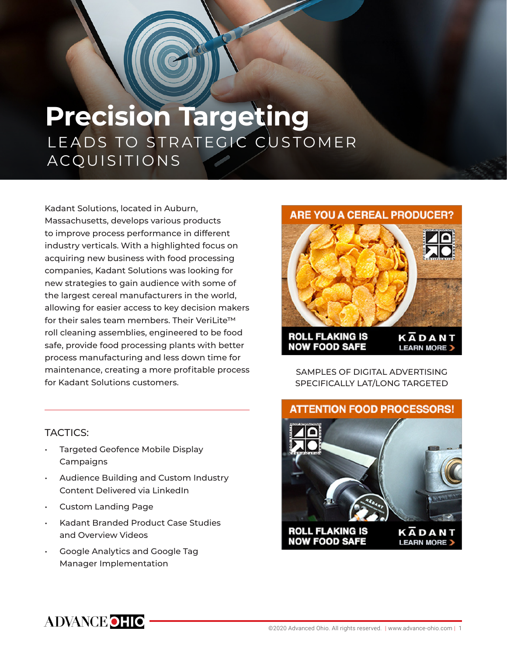# **Precision Targeting** LEADS TO STRATEGIC CUSTOMER ACQUISITIONS

Kadant Solutions, located in Auburn, Massachusetts, develops various products to improve process performance in different industry verticals. With a highlighted focus on acquiring new business with food processing companies, Kadant Solutions was looking for new strategies to gain audience with some of the largest cereal manufacturers in the world, allowing for easier access to key decision makers for their sales team members. Their VeriLite™ roll cleaning assemblies, engineered to be food safe, provide food processing plants with better process manufacturing and less down time for maintenance, creating a more profitable process for Kadant Solutions customers.

## **ARE YOU A CEREAL PRODUCER?**



SAMPLES OF DIGITAL ADVERTISING SPECIFICALLY LAT/LONG TARGETED

## TACTICS:

- Targeted Geofence Mobile Display **Campaigns**
- Audience Building and Custom Industry Content Delivered via LinkedIn
- Custom Landing Page
- Kadant Branded Product Case Studies and Overview Videos
- Google Analytics and Google Tag Manager Implementation